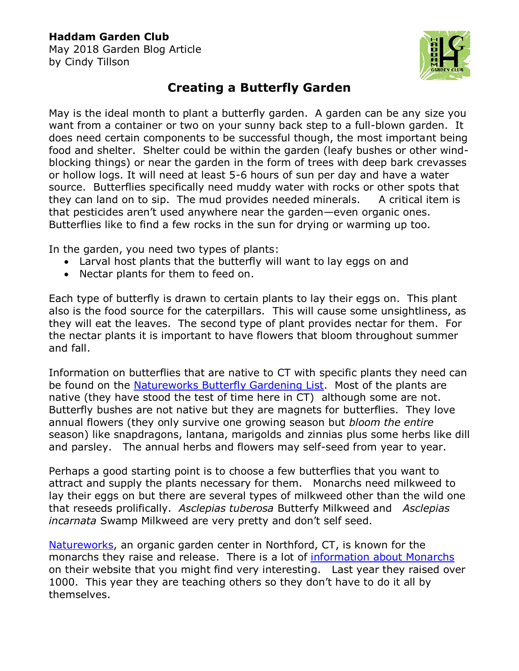## **Haddam Garden Club**

May 2018 Garden Blog Article by Cindy Tillson



## **Creating a Butterfly Garden**

May is the ideal month to plant a butterfly garden. A garden can be any size you want from a container or two on your sunny back step to a full-blown garden. It does need certain components to be successful though, the most important being food and shelter. Shelter could be within the garden (leafy bushes or other windblocking things) or near the garden in the form of trees with deep bark crevasses or hollow logs. It will need at least 5-6 hours of sun per day and have a water source. Butterflies specifically need muddy water with rocks or other spots that they can land on to sip. The mud provides needed minerals. A critical item is that pesticides aren't used anywhere near the garden—even organic ones. Butterflies like to find a few rocks in the sun for drying or warming up too.

In the garden, you need two types of plants:

- Larval host plants that the butterfly will want to lay eggs on and
- Nectar plants for them to feed on.

Each type of butterfly is drawn to certain plants to lay their eggs on. This plant also is the food source for the caterpillars. This will cause some unsightliness, as they will eat the leaves. The second type of plant provides nectar for them. For the nectar plants it is important to have flowers that bloom throughout summer and fall.

Information on butterflies that are native to CT with specific plants they need can be found on the [Natureworks Butterfly Gardening List.](https://naturework.com/wp-content/uploads/2017/02/Butterfly_Gardening_including_lists.pdf) Most of the plants are native (they have stood the test of time here in CT) although some are not. Butterfly bushes are not native but they are magnets for butterflies. They love annual flowers (they only survive one growing season but *bloom the entire* season) like snapdragons, lantana, marigolds and zinnias plus some herbs like dill and parsley. The annual herbs and flowers may self-seed from year to year.

Perhaps a good starting point is to choose a few butterflies that you want to attract and supply the plants necessary for them. Monarchs need milkweed to lay their eggs on but there are several types of milkweed other than the wild one that reseeds prolifically. *Asclepias tuberosa* Butterfy Milkweed and *Asclepias incarnata* Swamp Milkweed are very pretty and don't self seed.

[Natureworks,](https://naturework.com/) an organic garden center in Northford, CT, is known for the monarchs they raise and release. There is a lot of [information about Monarchs](https://naturework.com/monarchs/) on their website that you might find very interesting. Last year they raised over 1000. This year they are teaching others so they don't have to do it all by themselves.